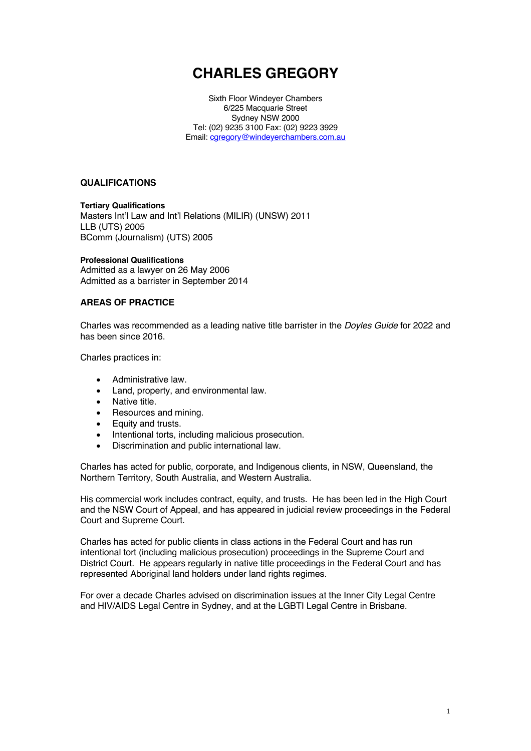# **CHARLES GREGORY**

Sixth Floor Windeyer Chambers 6/225 Macquarie Street Sydney NSW 2000 Tel: (02) 9235 3100 Fax: (02) 9223 3929 Email: caregory@windeyerchambers.com.au

#### **QUALIFICATIONS**

**Tertiary Qualifications**  Masters Int'l Law and Int'l Relations (MILIR) (UNSW) 2011 LLB (UTS) 2005 BComm (Journalism) (UTS) 2005

#### **Professional Qualifications**

Admitted as a lawyer on 26 May 2006 Admitted as a barrister in September 2014

#### **AREAS OF PRACTICE**

Charles was recommended as a leading native title barrister in the *Doyles Guide* for 2022 and has been since 2016.

Charles practices in:

- Administrative law.
- Land, property, and environmental law.
- Native title.
- Resources and mining.
- Equity and trusts.
- Intentional torts, including malicious prosecution.
- Discrimination and public international law.

Charles has acted for public, corporate, and Indigenous clients, in NSW, Queensland, the Northern Territory, South Australia, and Western Australia.

His commercial work includes contract, equity, and trusts. He has been led in the High Court and the NSW Court of Appeal, and has appeared in judicial review proceedings in the Federal Court and Supreme Court.

Charles has acted for public clients in class actions in the Federal Court and has run intentional tort (including malicious prosecution) proceedings in the Supreme Court and District Court. He appears regularly in native title proceedings in the Federal Court and has represented Aboriginal land holders under land rights regimes.

For over a decade Charles advised on discrimination issues at the Inner City Legal Centre and HIV/AIDS Legal Centre in Sydney, and at the LGBTI Legal Centre in Brisbane.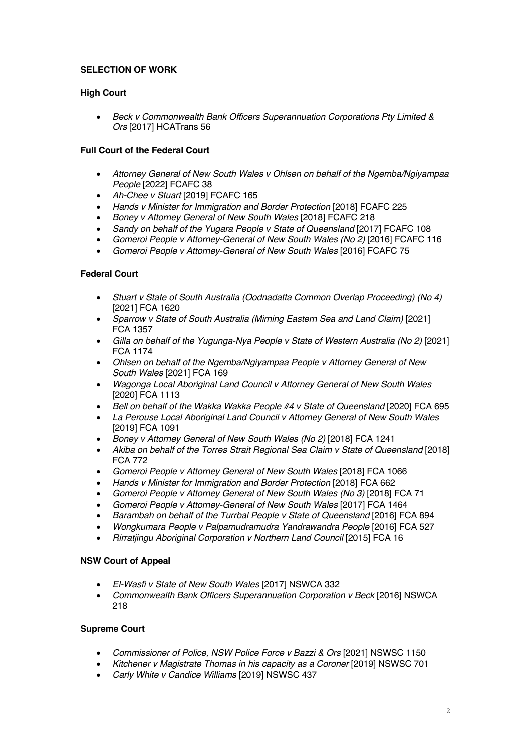# **SELECTION OF WORK**

# **High Court**

• *Beck v Commonwealth Bank Officers Superannuation Corporations Pty Limited & Ors* [2017] HCATrans 56

# **Full Court of the Federal Court**

- *Attorney General of New South Wales v Ohlsen on behalf of the Ngemba/Ngiyampaa People* [2022] FCAFC 38
- *Ah-Chee v Stuart* [2019] FCAFC 165
- *Hands v Minister for Immigration and Border Protection* [2018] FCAFC 225
- *Boney v Attorney General of New South Wales* [2018] FCAFC 218
- *Sandy on behalf of the Yugara People v State of Queensland* [2017] FCAFC 108
- *Gomeroi People v Attorney-General of New South Wales (No 2)* [2016] FCAFC 116
- *Gomeroi People v Attorney-General of New South Wales* [2016] FCAFC 75

# **Federal Court**

- *Stuart v State of South Australia (Oodnadatta Common Overlap Proceeding) (No 4)* [2021] FCA 1620
- *Sparrow v State of South Australia (Mirning Eastern Sea and Land Claim)* [2021] FCA 1357
- *Gilla on behalf of the Yugunga-Nya People v State of Western Australia (No 2)* [2021] FCA 1174
- *Ohlsen on behalf of the Ngemba/Ngiyampaa People v Attorney General of New South Wales* [2021] FCA 169
- *Wagonga Local Aboriginal Land Council v Attorney General of New South Wales* [2020] FCA 1113
- *Bell on behalf of the Wakka Wakka People #4 v State of Queensland* [2020] FCA 695
- *La Perouse Local Aboriginal Land Council v Attorney General of New South Wales* [2019] FCA 1091
- *Boney v Attorney General of New South Wales (No 2)* [2018] FCA 1241
- *Akiba on behalf of the Torres Strait Regional Sea Claim v State of Queensland* [2018] FCA 772
- *Gomeroi People v Attorney General of New South Wales* [2018] FCA 1066
- *Hands v Minister for Immigration and Border Protection* [2018] FCA 662
- *Gomeroi People v Attorney General of New South Wales (No 3)* [2018] FCA 71
- *Gomeroi People v Attorney-General of New South Wales* [2017] FCA 1464
- *Barambah on behalf of the Turrbal People v State of Queensland* [2016] FCA 894
- *Wongkumara People v Palpamudramudra Yandrawandra People* [2016] FCA 527
- *Rirratjingu Aboriginal Corporation v Northern Land Council* [2015] FCA 16

## **NSW Court of Appeal**

- *El-Wasfi v State of New South Wales* [2017] NSWCA 332
- *Commonwealth Bank Officers Superannuation Corporation v Beck* [2016] NSWCA 218

# **Supreme Court**

- *Commissioner of Police, NSW Police Force v Bazzi & Ors* [2021] NSWSC 1150
- *Kitchener v Magistrate Thomas in his capacity as a Coroner* [2019] NSWSC 701
- *Carly White v Candice Williams* [2019] NSWSC 437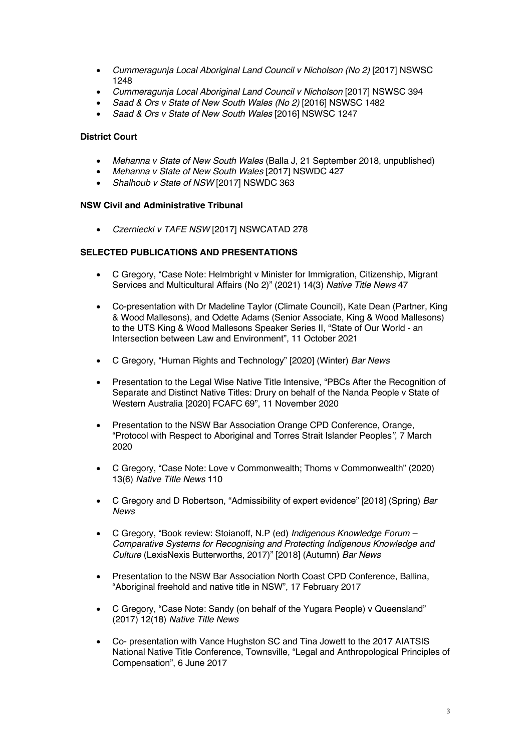- *Cummeragunja Local Aboriginal Land Council v Nicholson (No 2)* [2017] NSWSC 1248
- *Cummeragunja Local Aboriginal Land Council v Nicholson* [2017] NSWSC 394
- *Saad & Ors v State of New South Wales (No 2)* [2016] NSWSC 1482
- *Saad & Ors v State of New South Wales* [2016] NSWSC 1247

## **District Court**

- *Mehanna v State of New South Wales* (Balla J, 21 September 2018, unpublished)
- *Mehanna v State of New South Wales* [2017] NSWDC 427
- *Shalhoub v State of NSW* [2017] NSWDC 363

#### **NSW Civil and Administrative Tribunal**

• *Czerniecki v TAFE NSW* [2017] NSWCATAD 278

## **SELECTED PUBLICATIONS AND PRESENTATIONS**

- C Gregory, "Case Note: Helmbright v Minister for Immigration, Citizenship, Migrant Services and Multicultural Affairs (No 2)" (2021) 14(3) *Native Title News* 47
- Co-presentation with Dr Madeline Taylor (Climate Council), Kate Dean (Partner, King & Wood Mallesons), and Odette Adams (Senior Associate, King & Wood Mallesons) to the UTS King & Wood Mallesons Speaker Series II, "State of Our World - an Intersection between Law and Environment", 11 October 2021
- C Gregory, "Human Rights and Technology" [2020] (Winter) *Bar News*
- Presentation to the Legal Wise Native Title Intensive, "PBCs After the Recognition of Separate and Distinct Native Titles: Drury on behalf of the Nanda People v State of Western Australia [2020] FCAFC 69", 11 November 2020
- Presentation to the NSW Bar Association Orange CPD Conference, Orange, "Protocol with Respect to Aboriginal and Torres Strait Islander Peoples*"*, 7 March 2020
- C Gregory, "Case Note: Love v Commonwealth; Thoms v Commonwealth" (2020) 13(6) *Native Title News* 110
- C Gregory and D Robertson, "Admissibility of expert evidence" [2018] (Spring) *Bar News*
- C Gregory, "Book review: Stoianoff, N.P (ed) *Indigenous Knowledge Forum – Comparative Systems for Recognising and Protecting Indigenous Knowledge and Culture* (LexisNexis Butterworths, 2017)" [2018] (Autumn) *Bar News*
- Presentation to the NSW Bar Association North Coast CPD Conference, Ballina, "Aboriginal freehold and native title in NSW", 17 February 2017
- C Gregory, "Case Note: Sandy (on behalf of the Yugara People) v Queensland" (2017) 12(18) *Native Title News*
- Co- presentation with Vance Hughston SC and Tina Jowett to the 2017 AIATSIS National Native Title Conference, Townsville, "Legal and Anthropological Principles of Compensation", 6 June 2017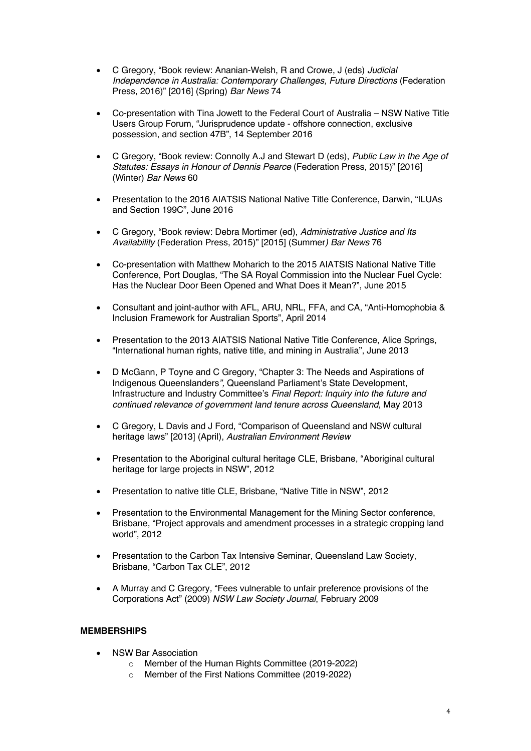- C Gregory, "Book review: Ananian-Welsh, R and Crowe, J (eds) *Judicial Independence in Australia: Contemporary Challenges, Future Directions* (Federation Press, 2016)" [2016] (Spring) *Bar News* 74
- Co-presentation with Tina Jowett to the Federal Court of Australia NSW Native Title Users Group Forum, "Jurisprudence update - offshore connection, exclusive possession, and section 47B", 14 September 2016
- C Gregory, "Book review: Connolly A.J and Stewart D (eds), *Public Law in the Age of Statutes: Essays in Honour of Dennis Pearce* (Federation Press, 2015)" [2016] (Winter) *Bar News* 60
- Presentation to the 2016 AIATSIS National Native Title Conference, Darwin, "ILUAs and Section 199C"*,* June 2016
- C Gregory, "Book review: Debra Mortimer (ed), *Administrative Justice and Its Availability* (Federation Press, 2015)" [2015] (Summer*) Bar News* 76
- Co-presentation with Matthew Moharich to the 2015 AIATSIS National Native Title Conference, Port Douglas*,* "The SA Royal Commission into the Nuclear Fuel Cycle: Has the Nuclear Door Been Opened and What Does it Mean?", June 2015
- Consultant and joint-author with AFL, ARU, NRL, FFA, and CA, "Anti-Homophobia & Inclusion Framework for Australian Sports", April 2014
- Presentation to the 2013 AIATSIS National Native Title Conference, Alice Springs, "International human rights, native title, and mining in Australia", June 2013
- D McGann, P Toyne and C Gregory, "Chapter 3: The Needs and Aspirations of Indigenous Queenslanders*",* Queensland Parliament's State Development, Infrastructure and Industry Committee's *Final Report: Inquiry into the future and continued relevance of government land tenure across Queensland,* May 2013
- C Gregory, L Davis and J Ford, "Comparison of Queensland and NSW cultural heritage laws" [2013] (April), *Australian Environment Review*
- Presentation to the Aboriginal cultural heritage CLE, Brisbane, "Aboriginal cultural heritage for large projects in NSW", 2012
- Presentation to native title CLE, Brisbane, "Native Title in NSW", 2012
- Presentation to the Environmental Management for the Mining Sector conference, Brisbane, "Project approvals and amendment processes in a strategic cropping land world", 2012
- Presentation to the Carbon Tax Intensive Seminar, Queensland Law Society, Brisbane, "Carbon Tax CLE", 2012
- A Murray and C Gregory*,* "Fees vulnerable to unfair preference provisions of the Corporations Act" (2009) *NSW Law Society Journal*, February 2009

## **MEMBERSHIPS**

- NSW Bar Association
	- o Member of the Human Rights Committee (2019-2022)
	- o Member of the First Nations Committee (2019-2022)